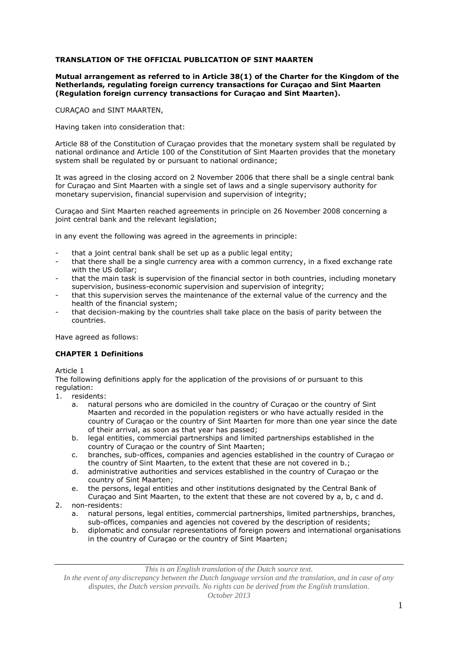# **TRANSLATION OF THE OFFICIAL PUBLICATION OF SINT MAARTEN**

# **Mutual arrangement as referred to in Article 38(1) of the Charter for the Kingdom of the Netherlands, regulating foreign currency transactions for Curaçao and Sint Maarten (Regulation foreign currency transactions for Curaçao and Sint Maarten).**

CURAÇAO and SINT MAARTEN,

Having taken into consideration that:

Article 88 of the Constitution of Curaçao provides that the monetary system shall be regulated by national ordinance and Article 100 of the Constitution of Sint Maarten provides that the monetary system shall be regulated by or pursuant to national ordinance;

It was agreed in the closing accord on 2 November 2006 that there shall be a single central bank for Curaçao and Sint Maarten with a single set of laws and a single supervisory authority for monetary supervision, financial supervision and supervision of integrity;

Curaçao and Sint Maarten reached agreements in principle on 26 November 2008 concerning a joint central bank and the relevant legislation;

in any event the following was agreed in the agreements in principle:

- that a joint central bank shall be set up as a public legal entity;
- that there shall be a single currency area with a common currency, in a fixed exchange rate with the US dollar;
- that the main task is supervision of the financial sector in both countries, including monetary supervision, business-economic supervision and supervision of integrity;
- that this supervision serves the maintenance of the external value of the currency and the health of the financial system;
- that decision-making by the countries shall take place on the basis of parity between the countries.

Have agreed as follows:

# **CHAPTER 1 Definitions**

Article 1

The following definitions apply for the application of the provisions of or pursuant to this regulation:

- 1. residents:
	- a. natural persons who are domiciled in the country of Curaçao or the country of Sint Maarten and recorded in the population registers or who have actually resided in the country of Curaçao or the country of Sint Maarten for more than one year since the date of their arrival, as soon as that year has passed;
	- b. legal entities, commercial partnerships and limited partnerships established in the country of Curaçao or the country of Sint Maarten;
	- c. branches, sub-offices, companies and agencies established in the country of Curaçao or the country of Sint Maarten, to the extent that these are not covered in b.;
	- d. administrative authorities and services established in the country of Curaçao or the country of Sint Maarten;
	- e. the persons, legal entities and other institutions designated by the Central Bank of
- Curaçao and Sint Maarten, to the extent that these are not covered by a, b, c and d. 2. non-residents:
	- a. natural persons, legal entities, commercial partnerships, limited partnerships, branches, sub-offices, companies and agencies not covered by the description of residents;
	- b. diplomatic and consular representations of foreign powers and international organisations in the country of Curaçao or the country of Sint Maarten;

*This is an English translation of the Dutch source text.*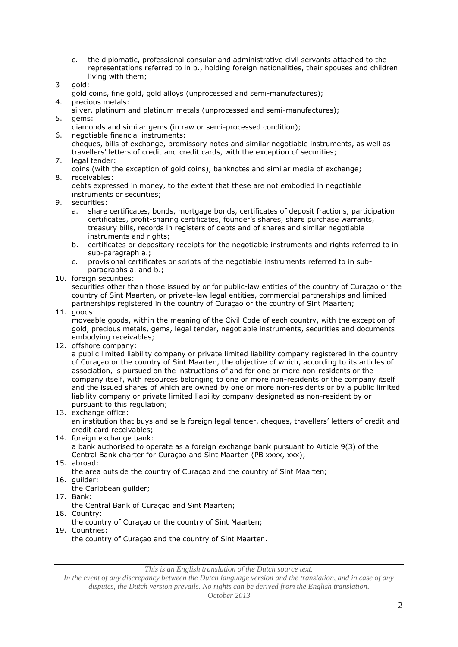- c. the diplomatic, professional consular and administrative civil servants attached to the representations referred to in b., holding foreign nationalities, their spouses and children living with them;
- 3 gold:
- gold coins, fine gold, gold alloys (unprocessed and semi-manufactures);
- 4. precious metals:
- silver, platinum and platinum metals (unprocessed and semi-manufactures); 5. gems:
- diamonds and similar gems (in raw or semi-processed condition);
- 6. negotiable financial instruments: cheques, bills of exchange, promissory notes and similar negotiable instruments, as well as travellers' letters of credit and credit cards, with the exception of securities;
- 7. legal tender:
- coins (with the exception of gold coins), banknotes and similar media of exchange; 8. receivables:

debts expressed in money, to the extent that these are not embodied in negotiable instruments or securities;

- 9. securities:
	- a. share certificates, bonds, mortgage bonds, certificates of deposit fractions, participation certificates, profit-sharing certificates, founder's shares, share purchase warrants, treasury bills, records in registers of debts and of shares and similar negotiable instruments and rights;
	- b. certificates or depositary receipts for the negotiable instruments and rights referred to in sub-paragraph a.;
	- c. provisional certificates or scripts of the negotiable instruments referred to in subparagraphs a. and b.;
- 10. foreign securities:

securities other than those issued by or for public-law entities of the country of Curaçao or the country of Sint Maarten, or private-law legal entities, commercial partnerships and limited partnerships registered in the country of Curaçao or the country of Sint Maarten;

11. goods:

moveable goods, within the meaning of the Civil Code of each country, with the exception of gold, precious metals, gems, legal tender, negotiable instruments, securities and documents embodying receivables;

12. offshore company:

a public limited liability company or private limited liability company registered in the country of Curaçao or the country of Sint Maarten, the objective of which, according to its articles of association, is pursued on the instructions of and for one or more non-residents or the company itself, with resources belonging to one or more non-residents or the company itself and the issued shares of which are owned by one or more non-residents or by a public limited liability company or private limited liability company designated as non-resident by or pursuant to this regulation;

13. exchange office:

an institution that buys and sells foreign legal tender, cheques, travellers' letters of credit and credit card receivables;

14. foreign exchange bank:

a bank authorised to operate as a foreign exchange bank pursuant to Article 9(3) of the Central Bank charter for Curaçao and Sint Maarten (PB xxxx, xxx);

15. abroad:

the area outside the country of Curaçao and the country of Sint Maarten;

- 16. guilder:
- the Caribbean guilder;
- 17. Bank:
	- the Central Bank of Curaçao and Sint Maarten;
- 18. Country:
- the country of Curaçao or the country of Sint Maarten;
- 19. Countries: the country of Curaçao and the country of Sint Maarten.

*This is an English translation of the Dutch source text.*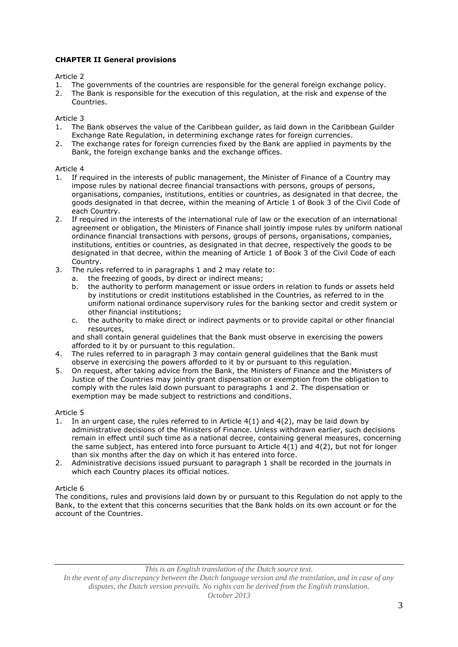# **CHAPTER II General provisions**

# Article 2

- 1. The governments of the countries are responsible for the general foreign exchange policy.
- 2. The Bank is responsible for the execution of this regulation, at the risk and expense of the Countries.

# Article 3

- 1. The Bank observes the value of the Caribbean guilder, as laid down in the Caribbean Guilder Exchange Rate Regulation, in determining exchange rates for foreign currencies.
- 2. The exchange rates for foreign currencies fixed by the Bank are applied in payments by the Bank, the foreign exchange banks and the exchange offices.

# Article 4

- 1. If required in the interests of public management, the Minister of Finance of a Country may impose rules by national decree financial transactions with persons, groups of persons, organisations, companies, institutions, entities or countries, as designated in that decree, the goods designated in that decree, within the meaning of Article 1 of Book 3 of the Civil Code of each Country.
- 2. If required in the interests of the international rule of law or the execution of an international agreement or obligation, the Ministers of Finance shall jointly impose rules by uniform national ordinance financial transactions with persons, groups of persons, organisations, companies, institutions, entities or countries, as designated in that decree, respectively the goods to be designated in that decree, within the meaning of Article 1 of Book 3 of the Civil Code of each Country.
- 3. The rules referred to in paragraphs 1 and 2 may relate to:
	- a. the freezing of goods, by direct or indirect means;
		- b. the authority to perform management or issue orders in relation to funds or assets held by institutions or credit institutions established in the Countries, as referred to in the uniform national ordinance supervisory rules for the banking sector and credit system or other financial institutions;
		- c. the authority to make direct or indirect payments or to provide capital or other financial resources,

and shall contain general guidelines that the Bank must observe in exercising the powers afforded to it by or pursuant to this regulation.

- 4. The rules referred to in paragraph 3 may contain general guidelines that the Bank must observe in exercising the powers afforded to it by or pursuant to this regulation.
- 5. On request, after taking advice from the Bank, the Ministers of Finance and the Ministers of Justice of the Countries may jointly grant dispensation or exemption from the obligation to comply with the rules laid down pursuant to paragraphs 1 and 2. The dispensation or exemption may be made subject to restrictions and conditions.

# Article 5

- 1. In an urgent case, the rules referred to in Article 4(1) and 4(2), may be laid down by administrative decisions of the Ministers of Finance. Unless withdrawn earlier, such decisions remain in effect until such time as a national decree, containing general measures, concerning the same subject, has entered into force pursuant to Article 4(1) and 4(2), but not for longer than six months after the day on which it has entered into force.
- 2. Administrative decisions issued pursuant to paragraph 1 shall be recorded in the journals in which each Country places its official notices.

# Article 6

The conditions, rules and provisions laid down by or pursuant to this Regulation do not apply to the Bank, to the extent that this concerns securities that the Bank holds on its own account or for the account of the Countries.

*This is an English translation of the Dutch source text.*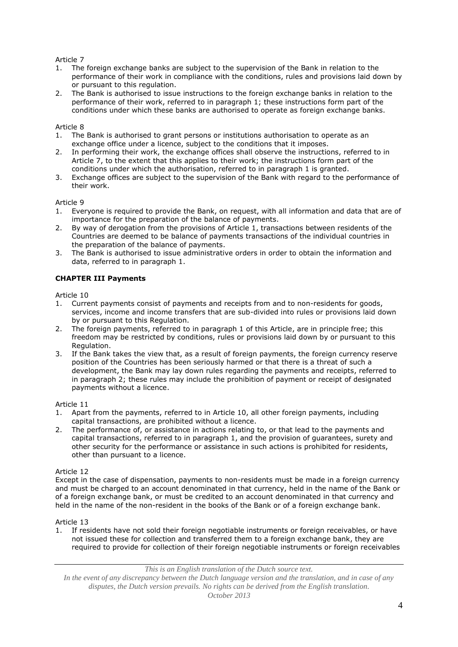- 1. The foreign exchange banks are subject to the supervision of the Bank in relation to the performance of their work in compliance with the conditions, rules and provisions laid down by or pursuant to this regulation.
- 2. The Bank is authorised to issue instructions to the foreign exchange banks in relation to the performance of their work, referred to in paragraph 1; these instructions form part of the conditions under which these banks are authorised to operate as foreign exchange banks.

# Article 8

- 1. The Bank is authorised to grant persons or institutions authorisation to operate as an exchange office under a licence, subject to the conditions that it imposes.
- 2. In performing their work, the exchange offices shall observe the instructions, referred to in Article 7, to the extent that this applies to their work; the instructions form part of the conditions under which the authorisation, referred to in paragraph 1 is granted.
- 3. Exchange offices are subject to the supervision of the Bank with regard to the performance of their work.

# Article 9

- 1. Everyone is required to provide the Bank, on request, with all information and data that are of importance for the preparation of the balance of payments.
- 2. By way of derogation from the provisions of Article 1, transactions between residents of the Countries are deemed to be balance of payments transactions of the individual countries in the preparation of the balance of payments.
- 3. The Bank is authorised to issue administrative orders in order to obtain the information and data, referred to in paragraph 1.

# **CHAPTER III Payments**

Article 10

- 1. Current payments consist of payments and receipts from and to non-residents for goods, services, income and income transfers that are sub-divided into rules or provisions laid down by or pursuant to this Regulation.
- 2. The foreign payments, referred to in paragraph 1 of this Article, are in principle free; this freedom may be restricted by conditions, rules or provisions laid down by or pursuant to this Regulation.
- 3. If the Bank takes the view that, as a result of foreign payments, the foreign currency reserve position of the Countries has been seriously harmed or that there is a threat of such a development, the Bank may lay down rules regarding the payments and receipts, referred to in paragraph 2; these rules may include the prohibition of payment or receipt of designated payments without a licence.

Article 11

- 1. Apart from the payments, referred to in Article 10, all other foreign payments, including capital transactions, are prohibited without a licence.
- 2. The performance of, or assistance in actions relating to, or that lead to the payments and capital transactions, referred to in paragraph 1, and the provision of guarantees, surety and other security for the performance or assistance in such actions is prohibited for residents, other than pursuant to a licence.

# Article 12

Except in the case of dispensation, payments to non-residents must be made in a foreign currency and must be charged to an account denominated in that currency, held in the name of the Bank or of a foreign exchange bank, or must be credited to an account denominated in that currency and held in the name of the non-resident in the books of the Bank or of a foreign exchange bank.

Article 13

1. If residents have not sold their foreign negotiable instruments or foreign receivables, or have not issued these for collection and transferred them to a foreign exchange bank, they are required to provide for collection of their foreign negotiable instruments or foreign receivables

*This is an English translation of the Dutch source text.*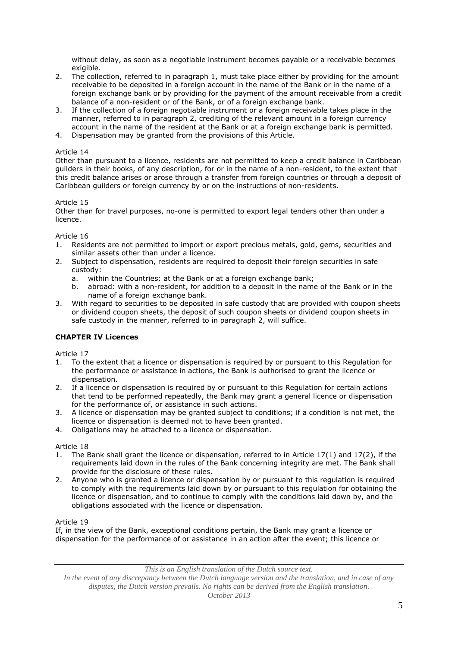without delay, as soon as a negotiable instrument becomes payable or a receivable becomes exigible.

- 2. The collection, referred to in paragraph 1, must take place either by providing for the amount receivable to be deposited in a foreign account in the name of the Bank or in the name of a foreign exchange bank or by providing for the payment of the amount receivable from a credit balance of a non-resident or of the Bank, or of a foreign exchange bank.
- 3. If the collection of a foreign negotiable instrument or a foreign receivable takes place in the manner, referred to in paragraph 2, crediting of the relevant amount in a foreign currency account in the name of the resident at the Bank or at a foreign exchange bank is permitted.
- 4. Dispensation may be granted from the provisions of this Article.

### Article 14

Other than pursuant to a licence, residents are not permitted to keep a credit balance in Caribbean guilders in their books, of any description, for or in the name of a non-resident, to the extent that this credit balance arises or arose through a transfer from foreign countries or through a deposit of Caribbean guilders or foreign currency by or on the instructions of non-residents.

# Article 15

Other than for travel purposes, no-one is permitted to export legal tenders other than under a licence.

### Article 16

- 1. Residents are not permitted to import or export precious metals, gold, gems, securities and similar assets other than under a licence.
- 2. Subject to dispensation, residents are required to deposit their foreign securities in safe custody:
	- a. within the Countries: at the Bank or at a foreign exchange bank;
	- b. abroad: with a non-resident, for addition to a deposit in the name of the Bank or in the name of a foreign exchange bank.
- 3. With regard to securities to be deposited in safe custody that are provided with coupon sheets or dividend coupon sheets, the deposit of such coupon sheets or dividend coupon sheets in safe custody in the manner, referred to in paragraph 2, will suffice.

# **CHAPTER IV Licences**

Article 17

- 1. To the extent that a licence or dispensation is required by or pursuant to this Regulation for the performance or assistance in actions, the Bank is authorised to grant the licence or dispensation.
- 2. If a licence or dispensation is required by or pursuant to this Regulation for certain actions that tend to be performed repeatedly, the Bank may grant a general licence or dispensation for the performance of, or assistance in such actions.
- 3. A licence or dispensation may be granted subject to conditions; if a condition is not met, the licence or dispensation is deemed not to have been granted.
- 4. Obligations may be attached to a licence or dispensation.

Article 18

- 1. The Bank shall grant the licence or dispensation, referred to in Article 17(1) and 17(2), if the requirements laid down in the rules of the Bank concerning integrity are met. The Bank shall provide for the disclosure of these rules.
- 2. Anyone who is granted a licence or dispensation by or pursuant to this regulation is required to comply with the requirements laid down by or pursuant to this regulation for obtaining the licence or dispensation, and to continue to comply with the conditions laid down by, and the obligations associated with the licence or dispensation.

Article 19

If, in the view of the Bank, exceptional conditions pertain, the Bank may grant a licence or dispensation for the performance of or assistance in an action after the event; this licence or

*This is an English translation of the Dutch source text.*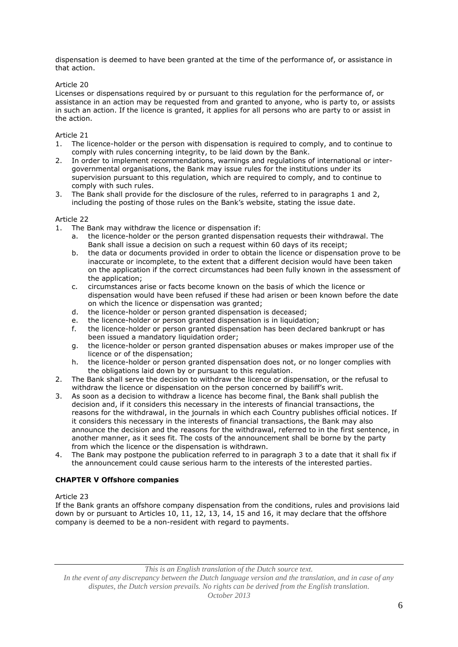dispensation is deemed to have been granted at the time of the performance of, or assistance in that action.

# Article 20

Licenses or dispensations required by or pursuant to this regulation for the performance of, or assistance in an action may be requested from and granted to anyone, who is party to, or assists in such an action. If the licence is granted, it applies for all persons who are party to or assist in the action.

# Article 21

- 1. The licence-holder or the person with dispensation is required to comply, and to continue to comply with rules concerning integrity, to be laid down by the Bank.
- 2. In order to implement recommendations, warnings and regulations of international or intergovernmental organisations, the Bank may issue rules for the institutions under its supervision pursuant to this regulation, which are required to comply, and to continue to comply with such rules.
- 3. The Bank shall provide for the disclosure of the rules, referred to in paragraphs 1 and 2, including the posting of those rules on the Bank's website, stating the issue date.

# Article 22

- 1. The Bank may withdraw the licence or dispensation if:
	- a. the licence-holder or the person granted dispensation requests their withdrawal. The Bank shall issue a decision on such a request within 60 days of its receipt;
	- b. the data or documents provided in order to obtain the licence or dispensation prove to be inaccurate or incomplete, to the extent that a different decision would have been taken on the application if the correct circumstances had been fully known in the assessment of the application;
	- c. circumstances arise or facts become known on the basis of which the licence or dispensation would have been refused if these had arisen or been known before the date on which the licence or dispensation was granted;
	- d. the licence-holder or person granted dispensation is deceased;
	- e. the licence-holder or person granted dispensation is in liquidation;
	- f. the licence-holder or person granted dispensation has been declared bankrupt or has been issued a mandatory liquidation order;
	- g. the licence-holder or person granted dispensation abuses or makes improper use of the licence or of the dispensation;
	- h. the licence-holder or person granted dispensation does not, or no longer complies with the obligations laid down by or pursuant to this regulation.
- 2. The Bank shall serve the decision to withdraw the licence or dispensation, or the refusal to withdraw the licence or dispensation on the person concerned by bailiff's writ.
- 3. As soon as a decision to withdraw a licence has become final, the Bank shall publish the decision and, if it considers this necessary in the interests of financial transactions, the reasons for the withdrawal, in the journals in which each Country publishes official notices. If it considers this necessary in the interests of financial transactions, the Bank may also announce the decision and the reasons for the withdrawal, referred to in the first sentence, in another manner, as it sees fit. The costs of the announcement shall be borne by the party from which the licence or the dispensation is withdrawn.
- 4. The Bank may postpone the publication referred to in paragraph 3 to a date that it shall fix if the announcement could cause serious harm to the interests of the interested parties.

# **CHAPTER V Offshore companies**

Article 23

If the Bank grants an offshore company dispensation from the conditions, rules and provisions laid down by or pursuant to Articles 10, 11, 12, 13, 14, 15 and 16, it may declare that the offshore company is deemed to be a non-resident with regard to payments.

*This is an English translation of the Dutch source text.*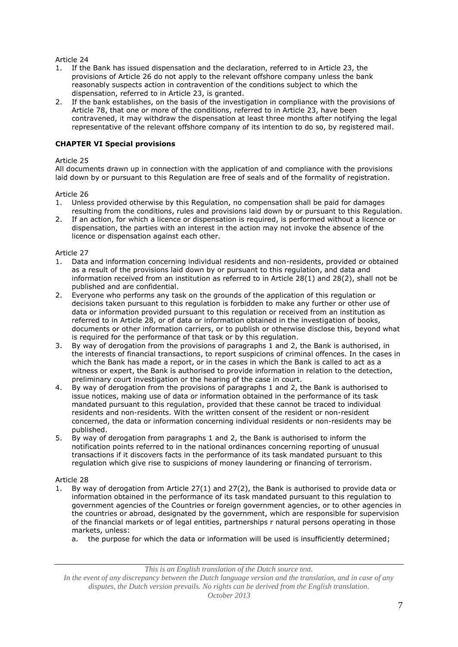- 1. If the Bank has issued dispensation and the declaration, referred to in Article 23, the provisions of Article 26 do not apply to the relevant offshore company unless the bank reasonably suspects action in contravention of the conditions subject to which the dispensation, referred to in Article 23, is granted.
- 2. If the bank establishes, on the basis of the investigation in compliance with the provisions of Article 78, that one or more of the conditions, referred to in Article 23, have been contravened, it may withdraw the dispensation at least three months after notifying the legal representative of the relevant offshore company of its intention to do so, by registered mail.

# **CHAPTER VI Special provisions**

# Article 25

All documents drawn up in connection with the application of and compliance with the provisions laid down by or pursuant to this Regulation are free of seals and of the formality of registration.

# Article 26

- 1. Unless provided otherwise by this Regulation, no compensation shall be paid for damages resulting from the conditions, rules and provisions laid down by or pursuant to this Regulation.
- 2. If an action, for which a licence or dispensation is required, is performed without a licence or dispensation, the parties with an interest in the action may not invoke the absence of the licence or dispensation against each other.

# Article 27

- 1. Data and information concerning individual residents and non-residents, provided or obtained as a result of the provisions laid down by or pursuant to this regulation, and data and information received from an institution as referred to in Article 28(1) and 28(2), shall not be published and are confidential.
- 2. Everyone who performs any task on the grounds of the application of this regulation or decisions taken pursuant to this regulation is forbidden to make any further or other use of data or information provided pursuant to this regulation or received from an institution as referred to in Article 28, or of data or information obtained in the investigation of books, documents or other information carriers, or to publish or otherwise disclose this, beyond what is required for the performance of that task or by this regulation.
- 3. By way of derogation from the provisions of paragraphs 1 and 2, the Bank is authorised, in the interests of financial transactions, to report suspicions of criminal offences. In the cases in which the Bank has made a report, or in the cases in which the Bank is called to act as a witness or expert, the Bank is authorised to provide information in relation to the detection, preliminary court investigation or the hearing of the case in court.
- 4. By way of derogation from the provisions of paragraphs 1 and 2, the Bank is authorised to issue notices, making use of data or information obtained in the performance of its task mandated pursuant to this regulation, provided that these cannot be traced to individual residents and non-residents. With the written consent of the resident or non-resident concerned, the data or information concerning individual residents or non-residents may be published.
- 5. By way of derogation from paragraphs 1 and 2, the Bank is authorised to inform the notification points referred to in the national ordinances concerning reporting of unusual transactions if it discovers facts in the performance of its task mandated pursuant to this regulation which give rise to suspicions of money laundering or financing of terrorism.

# Article 28

- 1. By way of derogation from Article 27(1) and 27(2), the Bank is authorised to provide data or information obtained in the performance of its task mandated pursuant to this regulation to government agencies of the Countries or foreign government agencies, or to other agencies in the countries or abroad, designated by the government, which are responsible for supervision of the financial markets or of legal entities, partnerships r natural persons operating in those markets, unless:
	- a. the purpose for which the data or information will be used is insufficiently determined;

*This is an English translation of the Dutch source text.*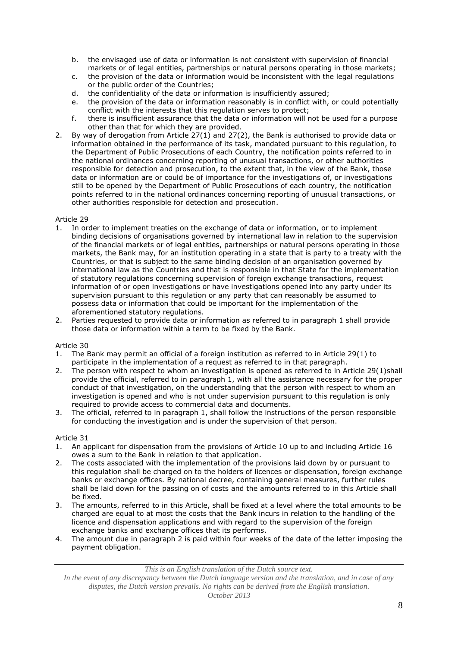- b. the envisaged use of data or information is not consistent with supervision of financial markets or of legal entities, partnerships or natural persons operating in those markets;
- c. the provision of the data or information would be inconsistent with the legal regulations or the public order of the Countries;
- d. the confidentiality of the data or information is insufficiently assured;
- e. the provision of the data or information reasonably is in conflict with, or could potentially conflict with the interests that this regulation serves to protect;
- f. there is insufficient assurance that the data or information will not be used for a purpose other than that for which they are provided.
- 2. By way of derogation from Article 27(1) and 27(2), the Bank is authorised to provide data or information obtained in the performance of its task, mandated pursuant to this regulation, to the Department of Public Prosecutions of each Country, the notification points referred to in the national ordinances concerning reporting of unusual transactions, or other authorities responsible for detection and prosecution, to the extent that, in the view of the Bank, those data or information are or could be of importance for the investigations of, or investigations still to be opened by the Department of Public Prosecutions of each country, the notification points referred to in the national ordinances concerning reporting of unusual transactions, or other authorities responsible for detection and prosecution.

- 1. In order to implement treaties on the exchange of data or information, or to implement binding decisions of organisations governed by international law in relation to the supervision of the financial markets or of legal entities, partnerships or natural persons operating in those markets, the Bank may, for an institution operating in a state that is party to a treaty with the Countries, or that is subject to the same binding decision of an organisation governed by international law as the Countries and that is responsible in that State for the implementation of statutory regulations concerning supervision of foreign exchange transactions, request information of or open investigations or have investigations opened into any party under its supervision pursuant to this regulation or any party that can reasonably be assumed to possess data or information that could be important for the implementation of the aforementioned statutory regulations.
- 2. Parties requested to provide data or information as referred to in paragraph 1 shall provide those data or information within a term to be fixed by the Bank.

# Article 30

- 1. The Bank may permit an official of a foreign institution as referred to in Article 29(1) to participate in the implementation of a request as referred to in that paragraph.
- 2. The person with respect to whom an investigation is opened as referred to in Article 29(1)shall provide the official, referred to in paragraph 1, with all the assistance necessary for the proper conduct of that investigation, on the understanding that the person with respect to whom an investigation is opened and who is not under supervision pursuant to this regulation is only required to provide access to commercial data and documents.
- 3. The official, referred to in paragraph 1, shall follow the instructions of the person responsible for conducting the investigation and is under the supervision of that person.

# Article 31

- 1. An applicant for dispensation from the provisions of Article 10 up to and including Article 16 owes a sum to the Bank in relation to that application.
- 2. The costs associated with the implementation of the provisions laid down by or pursuant to this regulation shall be charged on to the holders of licences or dispensation, foreign exchange banks or exchange offices. By national decree, containing general measures, further rules shall be laid down for the passing on of costs and the amounts referred to in this Article shall be fixed.
- 3. The amounts, referred to in this Article, shall be fixed at a level where the total amounts to be charged are equal to at most the costs that the Bank incurs in relation to the handling of the licence and dispensation applications and with regard to the supervision of the foreign exchange banks and exchange offices that its performs.
- 4. The amount due in paragraph 2 is paid within four weeks of the date of the letter imposing the payment obligation.

*In the event of any discrepancy between the Dutch language version and the translation, and in case of any disputes, the Dutch version prevails. No rights can be derived from the English translation. October 2013*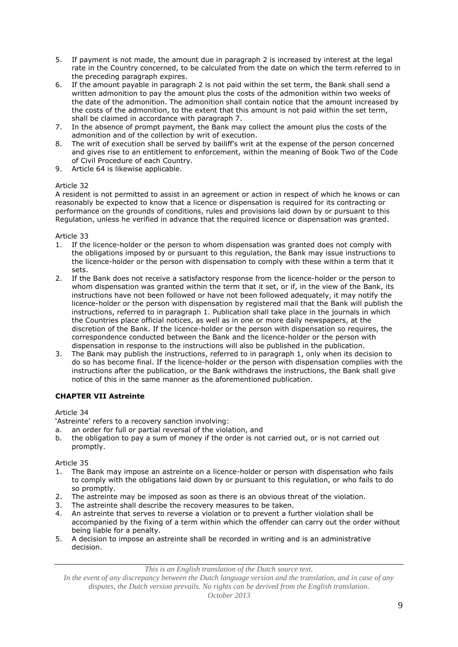- 5. If payment is not made, the amount due in paragraph 2 is increased by interest at the legal rate in the Country concerned, to be calculated from the date on which the term referred to in the preceding paragraph expires.
- 6. If the amount payable in paragraph 2 is not paid within the set term, the Bank shall send a written admonition to pay the amount plus the costs of the admonition within two weeks of the date of the admonition. The admonition shall contain notice that the amount increased by the costs of the admonition, to the extent that this amount is not paid within the set term, shall be claimed in accordance with paragraph 7.
- 7. In the absence of prompt payment, the Bank may collect the amount plus the costs of the admonition and of the collection by writ of execution.
- 8. The writ of execution shall be served by bailiff's writ at the expense of the person concerned and gives rise to an entitlement to enforcement, within the meaning of Book Two of the Code of Civil Procedure of each Country.
- 9. Article 64 is likewise applicable.

A resident is not permitted to assist in an agreement or action in respect of which he knows or can reasonably be expected to know that a licence or dispensation is required for its contracting or performance on the grounds of conditions, rules and provisions laid down by or pursuant to this Regulation, unless he verified in advance that the required licence or dispensation was granted.

Article 33

- 1. If the licence-holder or the person to whom dispensation was granted does not comply with the obligations imposed by or pursuant to this regulation, the Bank may issue instructions to the licence-holder or the person with dispensation to comply with these within a term that it sets.
- 2. If the Bank does not receive a satisfactory response from the licence-holder or the person to whom dispensation was granted within the term that it set, or if, in the view of the Bank, its instructions have not been followed or have not been followed adequately, it may notify the licence-holder or the person with dispensation by registered mail that the Bank will publish the instructions, referred to in paragraph 1. Publication shall take place in the journals in which the Countries place official notices, as well as in one or more daily newspapers, at the discretion of the Bank. If the licence-holder or the person with dispensation so requires, the correspondence conducted between the Bank and the licence-holder or the person with dispensation in response to the instructions will also be published in the publication.
- 3. The Bank may publish the instructions, referred to in paragraph 1, only when its decision to do so has become final. If the licence-holder or the person with dispensation complies with the instructions after the publication, or the Bank withdraws the instructions, the Bank shall give notice of this in the same manner as the aforementioned publication.

# **CHAPTER VII Astreinte**

Article 34

'Astreinte' refers to a recovery sanction involving:

- a. an order for full or partial reversal of the violation, and
- b. the obligation to pay a sum of money if the order is not carried out, or is not carried out promptly.

Article 35

- 1. The Bank may impose an astreinte on a licence-holder or person with dispensation who fails to comply with the obligations laid down by or pursuant to this regulation, or who fails to do so promptly.
- 2. The astreinte may be imposed as soon as there is an obvious threat of the violation.
- 3. The astreinte shall describe the recovery measures to be taken.
- 4. An astreinte that serves to reverse a violation or to prevent a further violation shall be accompanied by the fixing of a term within which the offender can carry out the order without being liable for a penalty.
- 5. A decision to impose an astreinte shall be recorded in writing and is an administrative decision.

*This is an English translation of the Dutch source text.*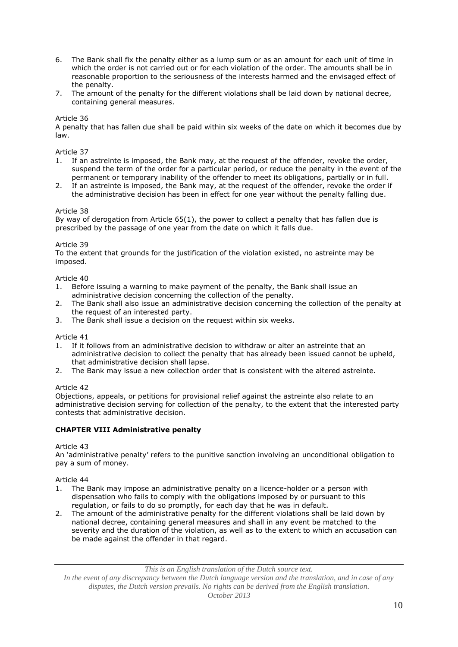- 6. The Bank shall fix the penalty either as a lump sum or as an amount for each unit of time in which the order is not carried out or for each violation of the order. The amounts shall be in reasonable proportion to the seriousness of the interests harmed and the envisaged effect of the penalty.
- 7. The amount of the penalty for the different violations shall be laid down by national decree, containing general measures.

A penalty that has fallen due shall be paid within six weeks of the date on which it becomes due by law.

### Article 37

- 1. If an astreinte is imposed, the Bank may, at the request of the offender, revoke the order, suspend the term of the order for a particular period, or reduce the penalty in the event of the permanent or temporary inability of the offender to meet its obligations, partially or in full.
- 2. If an astreinte is imposed, the Bank may, at the request of the offender, revoke the order if the administrative decision has been in effect for one year without the penalty falling due.

### Article 38

By way of derogation from Article 65(1), the power to collect a penalty that has fallen due is prescribed by the passage of one year from the date on which it falls due.

### Article 39

To the extent that grounds for the justification of the violation existed, no astreinte may be imposed.

### Article 40

- 1. Before issuing a warning to make payment of the penalty, the Bank shall issue an administrative decision concerning the collection of the penalty.
- 2. The Bank shall also issue an administrative decision concerning the collection of the penalty at the request of an interested party.
- 3. The Bank shall issue a decision on the request within six weeks.

#### Article 41

- 1. If it follows from an administrative decision to withdraw or alter an astreinte that an administrative decision to collect the penalty that has already been issued cannot be upheld, that administrative decision shall lapse.
- 2. The Bank may issue a new collection order that is consistent with the altered astreinte.

#### Article 42

Objections, appeals, or petitions for provisional relief against the astreinte also relate to an administrative decision serving for collection of the penalty, to the extent that the interested party contests that administrative decision.

# **CHAPTER VIII Administrative penalty**

Article 43

An 'administrative penalty' refers to the punitive sanction involving an unconditional obligation to pay a sum of money.

#### Article 44

- 1. The Bank may impose an administrative penalty on a licence-holder or a person with dispensation who fails to comply with the obligations imposed by or pursuant to this regulation, or fails to do so promptly, for each day that he was in default.
- 2. The amount of the administrative penalty for the different violations shall be laid down by national decree, containing general measures and shall in any event be matched to the severity and the duration of the violation, as well as to the extent to which an accusation can be made against the offender in that regard.

*This is an English translation of the Dutch source text.*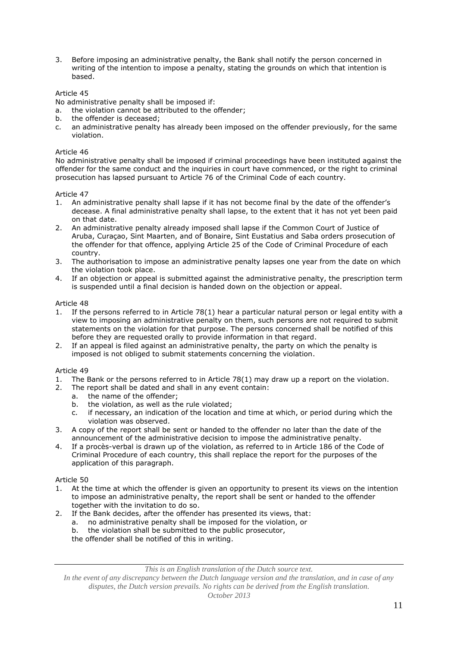3. Before imposing an administrative penalty, the Bank shall notify the person concerned in writing of the intention to impose a penalty, stating the grounds on which that intention is based.

# Article 45

No administrative penalty shall be imposed if:

- a. the violation cannot be attributed to the offender;
- b. the offender is deceased;
- c. an administrative penalty has already been imposed on the offender previously, for the same violation.

### Article 46

No administrative penalty shall be imposed if criminal proceedings have been instituted against the offender for the same conduct and the inquiries in court have commenced, or the right to criminal prosecution has lapsed pursuant to Article 76 of the Criminal Code of each country.

# Article 47

- 1. An administrative penalty shall lapse if it has not become final by the date of the offender's decease. A final administrative penalty shall lapse, to the extent that it has not yet been paid on that date.
- 2. An administrative penalty already imposed shall lapse if the Common Court of Justice of Aruba, Curaçao, Sint Maarten, and of Bonaire, Sint Eustatius and Saba orders prosecution of the offender for that offence, applying Article 25 of the Code of Criminal Procedure of each country.
- 3. The authorisation to impose an administrative penalty lapses one year from the date on which the violation took place.
- 4. If an objection or appeal is submitted against the administrative penalty, the prescription term is suspended until a final decision is handed down on the objection or appeal.

### Article 48

- 1. If the persons referred to in Article 78(1) hear a particular natural person or legal entity with a view to imposing an administrative penalty on them, such persons are not required to submit statements on the violation for that purpose. The persons concerned shall be notified of this before they are requested orally to provide information in that regard.
- 2. If an appeal is filed against an administrative penalty, the party on which the penalty is imposed is not obliged to submit statements concerning the violation.

#### Article 49

- 1. The Bank or the persons referred to in Article 78(1) may draw up a report on the violation.
- 2. The report shall be dated and shall in any event contain:
	- a. the name of the offender;
	- b. the violation, as well as the rule violated;
	- c. if necessary, an indication of the location and time at which, or period during which the violation was observed.
- 3. A copy of the report shall be sent or handed to the offender no later than the date of the announcement of the administrative decision to impose the administrative penalty.
- 4. If a procès-verbal is drawn up of the violation, as referred to in Article 186 of the Code of Criminal Procedure of each country, this shall replace the report for the purposes of the application of this paragraph.

#### Article 50

- 1. At the time at which the offender is given an opportunity to present its views on the intention to impose an administrative penalty, the report shall be sent or handed to the offender together with the invitation to do so.
- 2. If the Bank decides, after the offender has presented its views, that:
	- a. no administrative penalty shall be imposed for the violation, or
	- b. the violation shall be submitted to the public prosecutor,

the offender shall be notified of this in writing.

*This is an English translation of the Dutch source text.*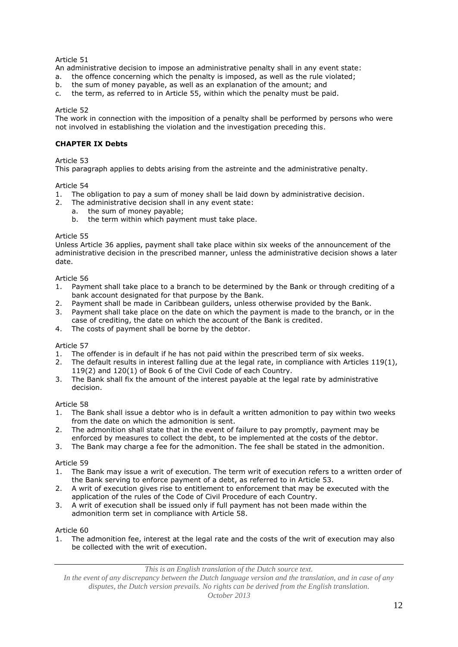An administrative decision to impose an administrative penalty shall in any event state:

- a. the offence concerning which the penalty is imposed, as well as the rule violated;
- b. the sum of money payable, as well as an explanation of the amount; and
- c. the term, as referred to in Article 55, within which the penalty must be paid.

# Article 52

The work in connection with the imposition of a penalty shall be performed by persons who were not involved in establishing the violation and the investigation preceding this.

# **CHAPTER IX Debts**

# Article 53

This paragraph applies to debts arising from the astreinte and the administrative penalty.

# Article 54

- 1. The obligation to pay a sum of money shall be laid down by administrative decision.
- 2. The administrative decision shall in any event state:
	- a. the sum of money payable;
		- b. the term within which payment must take place.

### Article 55

Unless Article 36 applies, payment shall take place within six weeks of the announcement of the administrative decision in the prescribed manner, unless the administrative decision shows a later date.

### Article 56

- 1. Payment shall take place to a branch to be determined by the Bank or through crediting of a bank account designated for that purpose by the Bank.
- 2. Payment shall be made in Caribbean guilders, unless otherwise provided by the Bank.
- 3. Payment shall take place on the date on which the payment is made to the branch, or in the case of crediting, the date on which the account of the Bank is credited.
- 4. The costs of payment shall be borne by the debtor.

# Article 57

- 1. The offender is in default if he has not paid within the prescribed term of six weeks.
- 2. The default results in interest falling due at the legal rate, in compliance with Articles 119(1), 119(2) and 120(1) of Book 6 of the Civil Code of each Country.
- 3. The Bank shall fix the amount of the interest payable at the legal rate by administrative decision.

# Article 58

- 1. The Bank shall issue a debtor who is in default a written admonition to pay within two weeks from the date on which the admonition is sent.
- 2. The admonition shall state that in the event of failure to pay promptly, payment may be enforced by measures to collect the debt, to be implemented at the costs of the debtor.
- 3. The Bank may charge a fee for the admonition. The fee shall be stated in the admonition.

# Article 59

- 1. The Bank may issue a writ of execution. The term writ of execution refers to a written order of the Bank serving to enforce payment of a debt, as referred to in Article 53.
- 2. A writ of execution gives rise to entitlement to enforcement that may be executed with the application of the rules of the Code of Civil Procedure of each Country.
- 3. A writ of execution shall be issued only if full payment has not been made within the admonition term set in compliance with Article 58.

# Article 60

1. The admonition fee, interest at the legal rate and the costs of the writ of execution may also be collected with the writ of execution.

*This is an English translation of the Dutch source text.*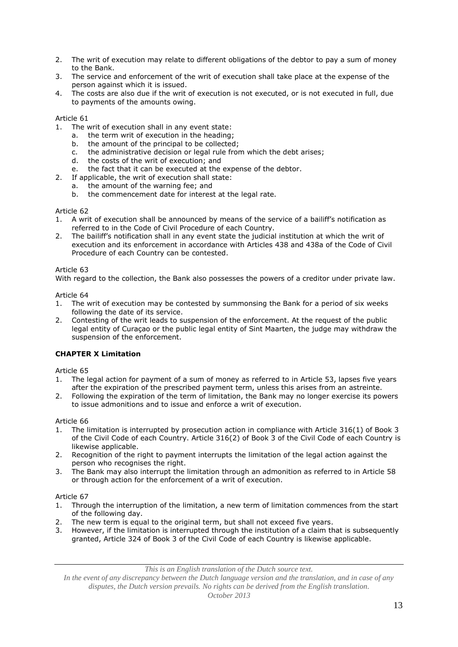- 2. The writ of execution may relate to different obligations of the debtor to pay a sum of money to the Bank.
- 3. The service and enforcement of the writ of execution shall take place at the expense of the person against which it is issued.
- 4. The costs are also due if the writ of execution is not executed, or is not executed in full, due to payments of the amounts owing.

- 1. The writ of execution shall in any event state:
	- a. the term writ of execution in the heading;
	- b. the amount of the principal to be collected;
	- c. the administrative decision or legal rule from which the debt arises;
	- d. the costs of the writ of execution; and
	- e. the fact that it can be executed at the expense of the debtor.
- 2. If applicable, the writ of execution shall state:<br>a. the amount of the warning fee; and
	- the amount of the warning fee; and
	- b. the commencement date for interest at the legal rate.

# Article 62

- 1. A writ of execution shall be announced by means of the service of a bailiff's notification as referred to in the Code of Civil Procedure of each Country.
- 2. The bailiff's notification shall in any event state the judicial institution at which the writ of execution and its enforcement in accordance with Articles 438 and 438a of the Code of Civil Procedure of each Country can be contested.

# Article 63

With regard to the collection, the Bank also possesses the powers of a creditor under private law.

Article 64

- 1. The writ of execution may be contested by summonsing the Bank for a period of six weeks following the date of its service.
- 2. Contesting of the writ leads to suspension of the enforcement. At the request of the public legal entity of Curaçao or the public legal entity of Sint Maarten, the judge may withdraw the suspension of the enforcement.

# **CHAPTER X Limitation**

Article 65

- 1. The legal action for payment of a sum of money as referred to in Article 53, lapses five years after the expiration of the prescribed payment term, unless this arises from an astreinte.
- 2. Following the expiration of the term of limitation, the Bank may no longer exercise its powers to issue admonitions and to issue and enforce a writ of execution.

Article 66

- 1. The limitation is interrupted by prosecution action in compliance with Article 316(1) of Book 3 of the Civil Code of each Country. Article 316(2) of Book 3 of the Civil Code of each Country is likewise applicable.
- 2. Recognition of the right to payment interrupts the limitation of the legal action against the person who recognises the right.
- 3. The Bank may also interrupt the limitation through an admonition as referred to in Article 58 or through action for the enforcement of a writ of execution.

Article 67

- 1. Through the interruption of the limitation, a new term of limitation commences from the start of the following day.
- 2. The new term is equal to the original term, but shall not exceed five years.<br>3. However, if the limitation is interrupted through the institution of a claim th
- 3. However, if the limitation is interrupted through the institution of a claim that is subsequently granted, Article 324 of Book 3 of the Civil Code of each Country is likewise applicable.

*This is an English translation of the Dutch source text.*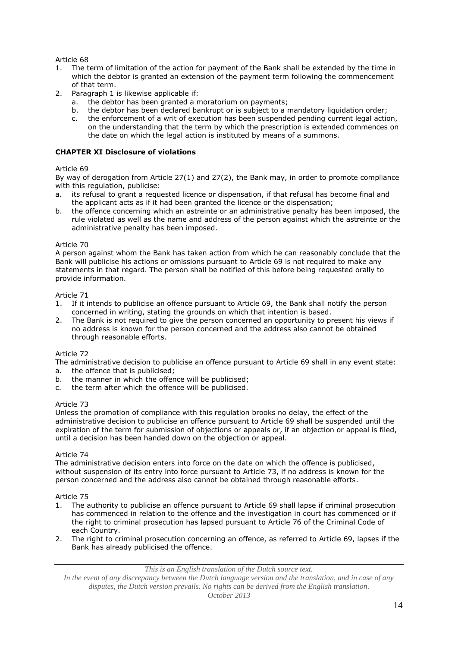- 1. The term of limitation of the action for payment of the Bank shall be extended by the time in which the debtor is granted an extension of the payment term following the commencement of that term.
- 2. Paragraph 1 is likewise applicable if:
	- a. the debtor has been granted a moratorium on payments;
	- b. the debtor has been declared bankrupt or is subject to a mandatory liquidation order;
	- c. the enforcement of a writ of execution has been suspended pending current legal action, on the understanding that the term by which the prescription is extended commences on the date on which the legal action is instituted by means of a summons.

# **CHAPTER XI Disclosure of violations**

# Article 69

By way of derogation from Article 27(1) and 27(2), the Bank may, in order to promote compliance with this regulation, publicise:

- a. its refusal to grant a requested licence or dispensation, if that refusal has become final and the applicant acts as if it had been granted the licence or the dispensation;
- b. the offence concerning which an astreinte or an administrative penalty has been imposed, the rule violated as well as the name and address of the person against which the astreinte or the administrative penalty has been imposed.

# Article 70

A person against whom the Bank has taken action from which he can reasonably conclude that the Bank will publicise his actions or omissions pursuant to Article 69 is not required to make any statements in that regard. The person shall be notified of this before being requested orally to provide information.

### Article 71

- 1. If it intends to publicise an offence pursuant to Article 69, the Bank shall notify the person concerned in writing, stating the grounds on which that intention is based.
- 2. The Bank is not required to give the person concerned an opportunity to present his views if no address is known for the person concerned and the address also cannot be obtained through reasonable efforts.

# Article 72

The administrative decision to publicise an offence pursuant to Article 69 shall in any event state:

- a. the offence that is publicised;
- b. the manner in which the offence will be publicised;
- c. the term after which the offence will be publicised.

# Article 73

Unless the promotion of compliance with this regulation brooks no delay, the effect of the administrative decision to publicise an offence pursuant to Article 69 shall be suspended until the expiration of the term for submission of objections or appeals or, if an objection or appeal is filed, until a decision has been handed down on the objection or appeal.

# Article 74

The administrative decision enters into force on the date on which the offence is publicised, without suspension of its entry into force pursuant to Article 73, if no address is known for the person concerned and the address also cannot be obtained through reasonable efforts.

#### Article 75

- 1. The authority to publicise an offence pursuant to Article 69 shall lapse if criminal prosecution has commenced in relation to the offence and the investigation in court has commenced or if the right to criminal prosecution has lapsed pursuant to Article 76 of the Criminal Code of each Country.
- 2. The right to criminal prosecution concerning an offence, as referred to Article 69, lapses if the Bank has already publicised the offence.

*This is an English translation of the Dutch source text.*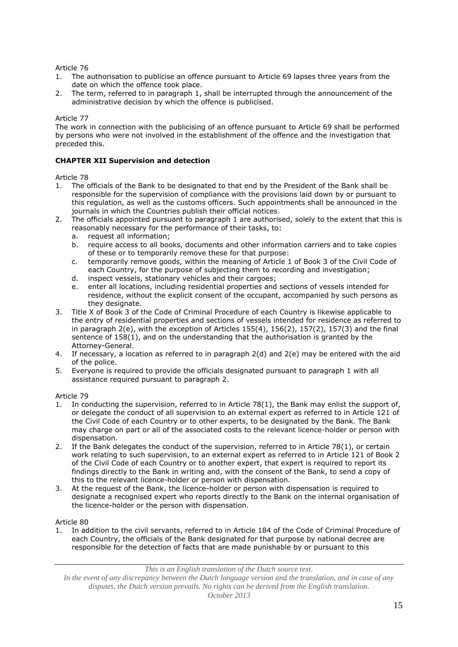- 1. The authorisation to publicise an offence pursuant to Article 69 lapses three years from the date on which the offence took place.
- 2. The term, referred to in paragraph 1, shall be interrupted through the announcement of the administrative decision by which the offence is publicised.

# Article 77

The work in connection with the publicising of an offence pursuant to Article 69 shall be performed by persons who were not involved in the establishment of the offence and the investigation that preceded this.

# **CHAPTER XII Supervision and detection**

# Article 78

- 1. The officials of the Bank to be designated to that end by the President of the Bank shall be responsible for the supervision of compliance with the provisions laid down by or pursuant to this regulation, as well as the customs officers. Such appointments shall be announced in the journals in which the Countries publish their official notices.
- 2. The officials appointed pursuant to paragraph 1 are authorised, solely to the extent that this is reasonably necessary for the performance of their tasks, to:
	- a. request all information;
	- b. require access to all books, documents and other information carriers and to take copies of these or to temporarily remove these for that purpose:
	- c. temporarily remove goods, within the meaning of Article 1 of Book 3 of the Civil Code of each Country, for the purpose of subjecting them to recording and investigation;
	- d. inspect vessels, stationary vehicles and their cargoes;
	- e. enter all locations, including residential properties and sections of vessels intended for residence, without the explicit consent of the occupant, accompanied by such persons as they designate.
- 3. Title X of Book 3 of the Code of Criminal Procedure of each Country is likewise applicable to the entry of residential properties and sections of vessels intended for residence as referred to in paragraph  $2(e)$ , with the exception of Articles  $155(4)$ ,  $156(2)$ ,  $157(2)$ ,  $157(3)$  and the final sentence of 158(1), and on the understanding that the authorisation is granted by the Attorney-General.
- 4. If necessary, a location as referred to in paragraph 2(d) and 2(e) may be entered with the aid of the police.
- 5. Everyone is required to provide the officials designated pursuant to paragraph 1 with all assistance required pursuant to paragraph 2.

# Article 79

- 1. In conducting the supervision, referred to in Article 78(1), the Bank may enlist the support of, or delegate the conduct of all supervision to an external expert as referred to in Article 121 of the Civil Code of each Country or to other experts, to be designated by the Bank. The Bank may charge on part or all of the associated costs to the relevant licence-holder or person with dispensation.
- 2. If the Bank delegates the conduct of the supervision, referred to in Article 78(1), or certain work relating to such supervision, to an external expert as referred to in Article 121 of Book 2 of the Civil Code of each Country or to another expert, that expert is required to report its findings directly to the Bank in writing and, with the consent of the Bank, to send a copy of this to the relevant licence-holder or person with dispensation.
- 3. At the request of the Bank, the licence-holder or person with dispensation is required to designate a recognised expert who reports directly to the Bank on the internal organisation of the licence-holder or the person with dispensation.

Article 80

1. In addition to the civil servants, referred to in Article 184 of the Code of Criminal Procedure of each Country, the officials of the Bank designated for that purpose by national decree are responsible for the detection of facts that are made punishable by or pursuant to this

# *This is an English translation of the Dutch source text.*